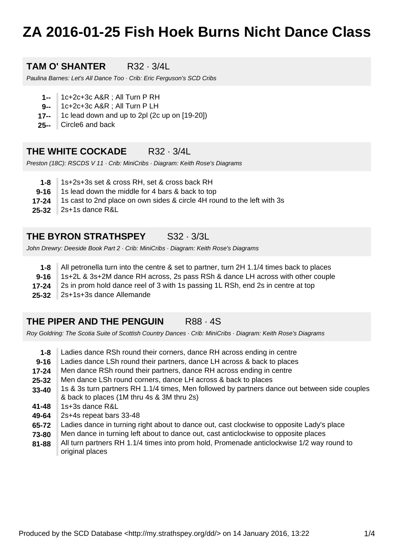# **ZA 2016-01-25 Fish Hoek Burns Nicht Dance Class**

## **TAM O' SHANTER** R32 · 3/4L

Paulina Barnes: Let's All Dance Too · Crib: Eric Ferguson's SCD Cribs

- **1--** 1c+2c+3c A&R ; All Turn P RH
- **9--** 1c+2c+3c A&R ; All Turn P LH
- **17--** 1c lead down and up to 2pl (2c up on [19-20])
- **25--** Circle6 and back

#### **THE WHITE COCKADE** R32 · 3/4L

Preston (18C): RSCDS V 11 · Crib: MiniCribs · Diagram: Keith Rose's Diagrams

- **1-8** 1s+2s+3s set & cross RH, set & cross back RH
- **9-16** 1s lead down the middle for 4 bars & back to top
- **17-24** 1s cast to 2nd place on own sides & circle 4H round to the left with 3s
- **25-32** 2s+1s dance R&L

## **THE BYRON STRATHSPEY** S32 · 3/3L

John Drewry: Deeside Book Part 2 · Crib: MiniCribs · Diagram: Keith Rose's Diagrams

- **1-8** All petronella turn into the centre & set to partner, turn 2H 1.1/4 times back to places
- **9-16** 1s+2L & 3s+2M dance RH across, 2s pass RSh & dance LH across with other couple
- **17-24** 2s in prom hold dance reel of 3 with 1s passing 1L RSh, end 2s in centre at top
- **25-32** 2s+1s+3s dance Allemande

#### **THE PIPER AND THE PENGUIN R88 · 4S**

Roy Goldring: The Scotia Suite of Scottish Country Dances · Crib: MiniCribs · Diagram: Keith Rose's Diagrams

- **1-8** Ladies dance RSh round their corners, dance RH across ending in centre
- **9-16** Ladies dance LSh round their partners, dance LH across & back to places
- **17-24** Men dance RSh round their partners, dance RH across ending in centre
- **25-32** Men dance LSh round corners, dance LH across & back to places
- **33-40** 1s & 3s turn partners RH 1.1/4 times, Men followed by partners dance out between side couples & back to places (1M thru 4s & 3M thru 2s)
- **41-48** 1s+3s dance R&L
- **49-64** 2s+4s repeat bars 33-48
- **65-72** Ladies dance in turning right about to dance out, cast clockwise to opposite Lady's place
- **73-80** Men dance in turning left about to dance out, cast anticlockwise to opposite places
- **81-88** All turn partners RH 1.1/4 times into prom hold, Promenade anticlockwise 1/2 way round to original places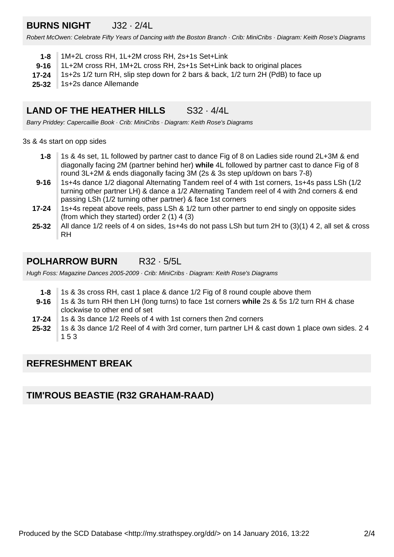# **BURNS NIGHT** J32 · 2/4L

Robert McOwen: Celebrate Fifty Years of Dancing with the Boston Branch · Crib: MiniCribs · Diagram: Keith Rose's Diagrams

| 1-8   1M+2L cross RH, 1L+2M cross RH, 2s+1s Set+Link                                       |  |
|--------------------------------------------------------------------------------------------|--|
| 1L+2M cross RH, 1M+2L cross RH, 2s+1s Set+Link back to original places<br>9-16             |  |
| 1s+2s 1/2 turn RH, slip step down for 2 bars & back, 1/2 turn 2H (PdB) to face up<br>17-24 |  |
| 25-32 1s+2s dance Allemande                                                                |  |

#### **LAND OF THE HEATHER HILLS** S32 · 4/4L

Barry Priddey: Capercaillie Book · Crib: MiniCribs · Diagram: Keith Rose's Diagrams

3s & 4s start on opp sides

- **1-8** 1s & 4s set, 1L followed by partner cast to dance Fig of 8 on Ladies side round 2L+3M & end diagonally facing 2M (partner behind her) **while** 4L followed by partner cast to dance Fig of 8 round 3L+2M & ends diagonally facing 3M (2s & 3s step up/down on bars 7-8)
- **9-16** 1s+4s dance 1/2 diagonal Alternating Tandem reel of 4 with 1st corners, 1s+4s pass LSh (1/2 turning other partner LH) & dance a 1/2 Alternating Tandem reel of 4 with 2nd corners & end passing LSh (1/2 turning other partner) & face 1st corners
- **17-24** 1s+4s repeat above reels, pass LSh & 1/2 turn other partner to end singly on opposite sides (from which they started) order 2 (1) 4 (3)
- **25-32** All dance 1/2 reels of 4 on sides, 1s+4s do not pass LSh but turn 2H to (3)(1) 4 2, all set & cross RH

# **POLHARROW BURN** R32 · 5/5L

Hugh Foss: Magazine Dances 2005-2009 · Crib: MiniCribs · Diagram: Keith Rose's Diagrams

- **1-8** 1s & 3s cross RH, cast 1 place & dance 1/2 Fig of 8 round couple above them
- **9-16** 1s & 3s turn RH then LH (long turns) to face 1st corners **while** 2s & 5s 1/2 turn RH & chase clockwise to other end of set
- **17-24** 1s & 3s dance 1/2 Reels of 4 with 1st corners then 2nd corners
- **25-32** 1s & 3s dance 1/2 Reel of 4 with 3rd corner, turn partner LH & cast down 1 place own sides. 2 4 1 5 3

#### **REFRESHMENT BREAK**

#### **TIM'ROUS BEASTIE (R32 GRAHAM-RAAD)**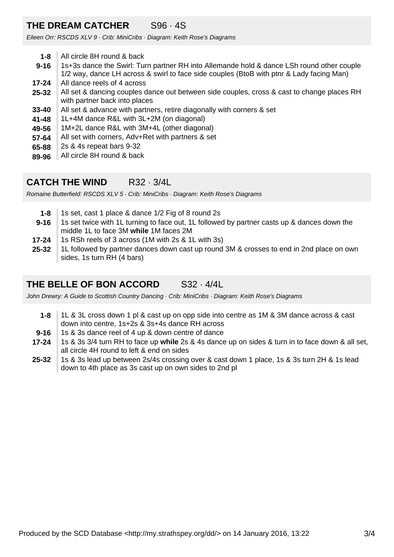# **THE DREAM CATCHER** S96 · 4S

Eileen Orr: RSCDS XLV 9 · Crib: MiniCribs · Diagram: Keith Rose's Diagrams

- **1-8** All circle 8H round & back
- **9-16** 1s+3s dance the Swirl: Turn partner RH into Allemande hold & dance LSh round other couple 1/2 way, dance LH across & swirl to face side couples (BtoB with ptnr & Lady facing Man)
- **17-24** All dance reels of 4 across
- **25-32** All set & dancing couples dance out between side couples, cross & cast to change places RH with partner back into places
- **33-40** All set & advance with partners, retire diagonally with corners & set
- **41-48** 1L+4M dance R&L with 3L+2M (on diagonal)
- **49-56** 1M+2L dance R&L with 3M+4L (other diagonal)
- **57-64** All set with corners, Adv+Ret with partners & set
- **65-88** 2s & 4s repeat bars 9-32
- **89-96** All circle 8H round & back

# **CATCH THE WIND** R32 · 3/4L

Romaine Butterfield: RSCDS XLV 5 · Crib: MiniCribs · Diagram: Keith Rose's Diagrams

- **9-16 1-8** 1s set, cast 1 place & dance 1/2 Fig of 8 round 2s 1s set twice with 1L turning to face out, 1L followed by partner casts up & dances down the middle 1L to face 3M **while** 1M faces 2M
- **17-24** 1s RSh reels of 3 across (1M with 2s & 1L with 3s)
- **25-32** 1L followed by partner dances down cast up round 3M & crosses to end in 2nd place on own sides, 1s turn RH (4 bars)

# **THE BELLE OF BON ACCORD** S32 · 4/4L

John Drewry: A Guide to Scottish Country Dancing · Crib: MiniCribs · Diagram: Keith Rose's Diagrams

- **1-8** 1L & 3L cross down 1 pl & cast up on opp side into centre as 1M & 3M dance across & cast down into centre, 1s+2s & 3s+4s dance RH across
- **9-16** 1s & 3s dance reel of 4 up & down centre of dance
- **17-24** 1s & 3s 3/4 turn RH to face up **while** 2s & 4s dance up on sides & turn in to face down & all set, all circle 4H round to left & end on sides
- **25-32** 1s & 3s lead up between 2s/4s crossing over & cast down 1 place, 1s & 3s turn 2H & 1s lead down to 4th place as 3s cast up on own sides to 2nd pl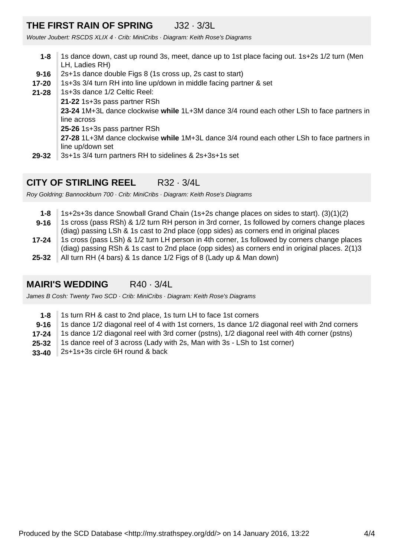# **THE FIRST RAIN OF SPRING** J32 · 3/3L

Wouter Joubert: RSCDS XLIX 4 · Crib: MiniCribs · Diagram: Keith Rose's Diagrams

- **9-16 1-8** 1s dance down, cast up round 3s, meet, dance up to 1st place facing out. 1s+2s 1/2 turn (Men LH, Ladies RH) 2s+1s dance double Figs 8 (1s cross up, 2s cast to start) 1s+3s 3/4 turn RH into line up/down in middle facing partner & set
- **29-32 21-28 17-20** 1s+3s dance 1/2 Celtic Reel: **21-22** 1s+3s pass partner RSh **23-24** 1M+3L dance clockwise **while** 1L+3M dance 3/4 round each other LSh to face partners in line across **25-26** 1s+3s pass partner RSh **27-28** 1L+3M dance clockwise **while** 1M+3L dance 3/4 round each other LSh to face partners in line up/down set 3s+1s 3/4 turn partners RH to sidelines & 2s+3s+1s set

# **CITY OF STIRLING REEL** R32 · 3/4L

Roy Goldring: Bannockburn 700 · Crib: MiniCribs · Diagram: Keith Rose's Diagrams

**25-32 17-24 9-16 1-8** 1s+2s+3s dance Snowball Grand Chain (1s+2s change places on sides to start). (3)(1)(2) 1s cross (pass RSh) & 1/2 turn RH person in 3rd corner, 1s followed by corners change places (diag) passing LSh & 1s cast to 2nd place (opp sides) as corners end in original places 1s cross (pass LSh) & 1/2 turn LH person in 4th corner, 1s followed by corners change places (diag) passing RSh & 1s cast to 2nd place (opp sides) as corners end in original places. 2(1)3 All turn RH (4 bars) & 1s dance 1/2 Figs of 8 (Lady up & Man down)

# **MAIRI'S WEDDING** R40 · 3/4L

James B Cosh: Twenty Two SCD · Crib: MiniCribs · Diagram: Keith Rose's Diagrams

- **1-8** 1s turn RH & cast to 2nd place, 1s turn LH to face 1st corners
- **9-16** 1s dance 1/2 diagonal reel of 4 with 1st corners, 1s dance 1/2 diagonal reel with 2nd corners
- **17-24** 1s dance 1/2 diagonal reel with 3rd corner (pstns), 1/2 diagonal reel with 4th corner (pstns)
- **25-32** 1s dance reel of 3 across (Lady with 2s, Man with 3s - LSh to 1st corner)
- **33-40** 2s+1s+3s circle 6H round & back